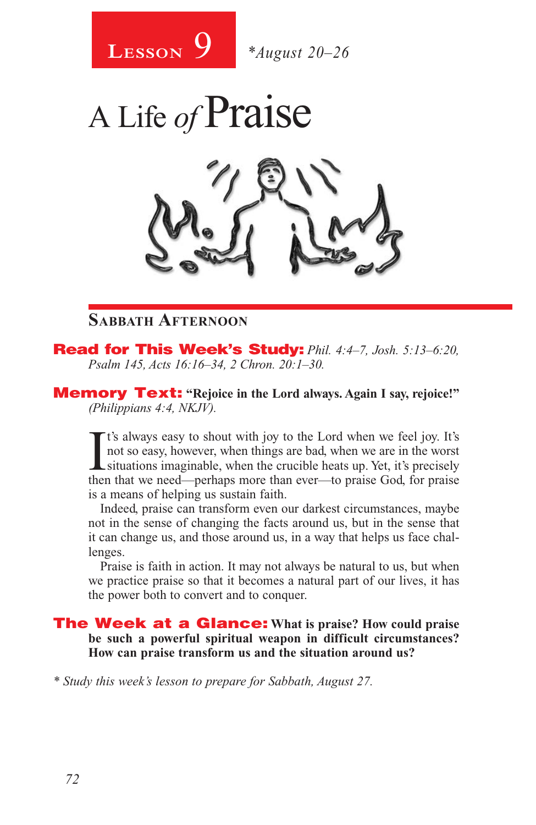



Read for This Week's Study: *Phil. 4:4–7, Josh. 5:13–6:20, Psalm 145, Acts 16:16–34, 2 Chron. 20:1–30.*

Memory Text: **"Rejoice in the Lord always. Again I say, rejoice!"** *(Philippians 4:4, NKJV).* 

It's always easy to shout with joy to the Lord when we feel joy. It's<br>not so easy, however, when things are bad, when we are in the worst<br>situations imaginable, when the crucible heats up. Yet, it's precisely<br>then that we t's always easy to shout with joy to the Lord when we feel joy. It's not so easy, however, when things are bad, when we are in the worst then that we need—perhaps more than ever—to praise God, for praise is a means of helping us sustain faith.

Indeed, praise can transform even our darkest circumstances, maybe not in the sense of changing the facts around us, but in the sense that it can change us, and those around us, in a way that helps us face challenges.

Praise is faith in action. It may not always be natural to us, but when we practice praise so that it becomes a natural part of our lives, it has the power both to convert and to conquer.

The Week at a Glance: **What is praise? How could praise be such a powerful spiritual weapon in difficult circumstances? How can praise transform us and the situation around us?**

*\* Study this week's lesson to prepare for Sabbath, August 27.*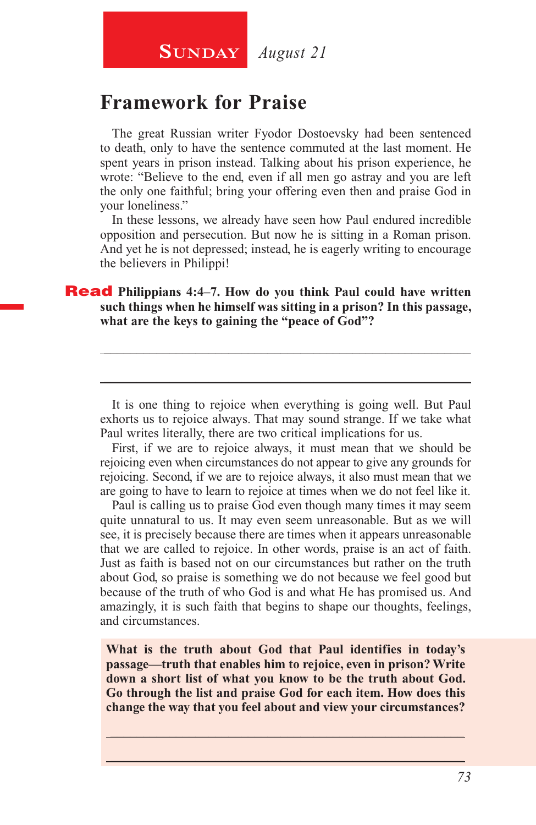### **Framework for Praise**

The great Russian writer Fyodor Dostoevsky had been sentenced to death, only to have the sentence commuted at the last moment. He spent years in prison instead. Talking about his prison experience, he wrote: "Believe to the end, even if all men go astray and you are left the only one faithful; bring your offering even then and praise God in your loneliness."

In these lessons, we already have seen how Paul endured incredible opposition and persecution. But now he is sitting in a Roman prison. And yet he is not depressed; instead, he is eagerly writing to encourage the believers in Philippi!

#### **Read** Philippians 4:4–7. How do you think Paul could have written **such things when he himself was sitting in a prison? In this passage, what are the keys to gaining the "peace of God"?**

It is one thing to rejoice when everything is going well. But Paul exhorts us to rejoice always. That may sound strange. If we take what Paul writes literally, there are two critical implications for us.

\_\_\_\_\_\_\_\_\_\_\_\_\_\_\_\_\_\_\_\_\_\_\_\_\_\_\_\_\_\_\_\_\_\_\_\_\_\_\_\_\_\_\_\_\_\_\_\_\_\_\_\_\_\_\_\_

\_\_\_\_\_\_\_\_\_\_\_\_\_\_\_\_\_\_\_\_\_\_\_\_\_\_\_\_\_\_\_\_\_\_\_\_\_\_\_\_\_\_\_\_\_\_\_\_\_\_\_\_\_\_\_\_

First, if we are to rejoice always, it must mean that we should be rejoicing even when circumstances do not appear to give any grounds for rejoicing. Second, if we are to rejoice always, it also must mean that we are going to have to learn to rejoice at times when we do not feel like it.

Paul is calling us to praise God even though many times it may seem quite unnatural to us. It may even seem unreasonable. But as we will see, it is precisely because there are times when it appears unreasonable that we are called to rejoice. In other words, praise is an act of faith. Just as faith is based not on our circumstances but rather on the truth about God, so praise is something we do not because we feel good but because of the truth of who God is and what He has promised us. And amazingly, it is such faith that begins to shape our thoughts, feelings, and circumstances.

**What is the truth about God that Paul identifies in today's passage—truth that enables him to rejoice, even in prison? Write down a short list of what you know to be the truth about God. Go through the list and praise God for each item. How does this change the way that you feel about and view your circumstances?**

\_\_\_\_\_\_\_\_\_\_\_\_\_\_\_\_\_\_\_\_\_\_\_\_\_\_\_\_\_\_\_\_\_\_\_\_\_\_\_\_\_\_\_\_\_\_\_\_\_\_\_\_\_\_ \_\_\_\_\_\_\_\_\_\_\_\_\_\_\_\_\_\_\_\_\_\_\_\_\_\_\_\_\_\_\_\_\_\_\_\_\_\_\_\_\_\_\_\_\_\_\_\_\_\_\_\_\_\_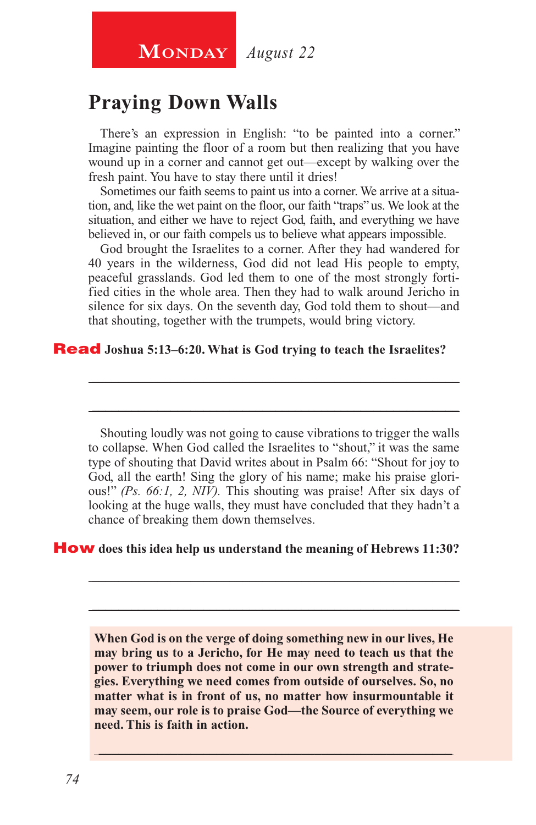## **MONDAY** *August 22*

### **Praying Down Walls**

There's an expression in English: "to be painted into a corner." Imagine painting the floor of a room but then realizing that you have wound up in a corner and cannot get out—except by walking over the fresh paint. You have to stay there until it dries!

Sometimes our faith seems to paint us into a corner. We arrive at a situation, and, like the wet paint on the floor, our faith "traps" us. We look at the situation, and either we have to reject God, faith, and everything we have believed in, or our faith compels us to believe what appears impossible.

God brought the Israelites to a corner. After they had wandered for 40 years in the wilderness, God did not lead His people to empty, peaceful grasslands. God led them to one of the most strongly fortified cities in the whole area. Then they had to walk around Jericho in silence for six days. On the seventh day, God told them to shout—and that shouting, together with the trumpets, would bring victory.

\_\_\_\_\_\_\_\_\_\_\_\_\_\_\_\_\_\_\_\_\_\_\_\_\_\_\_\_\_\_\_\_\_\_\_\_\_\_\_\_\_\_\_\_\_\_\_\_\_\_\_\_\_\_\_\_

\_\_\_\_\_\_\_\_\_\_\_\_\_\_\_\_\_\_\_\_\_\_\_\_\_\_\_\_\_\_\_\_\_\_\_\_\_\_\_\_\_\_\_\_\_\_\_\_\_\_\_\_\_\_\_\_

#### Read **Joshua 5:13–6:20. What is God trying to teach the Israelites?**

Shouting loudly was not going to cause vibrations to trigger the walls to collapse. When God called the Israelites to "shout," it was the same type of shouting that David writes about in Psalm 66: "Shout for joy to God, all the earth! Sing the glory of his name; make his praise glorious!" *(Ps. 66:1, 2, NIV).* This shouting was praise! After six days of looking at the huge walls, they must have concluded that they hadn't a chance of breaking them down themselves.

\_\_\_\_\_\_\_\_\_\_\_\_\_\_\_\_\_\_\_\_\_\_\_\_\_\_\_\_\_\_\_\_\_\_\_\_\_\_\_\_\_\_\_\_\_\_\_\_\_\_\_\_\_\_\_\_

\_\_\_\_\_\_\_\_\_\_\_\_\_\_\_\_\_\_\_\_\_\_\_\_\_\_\_\_\_\_\_\_\_\_\_\_\_\_\_\_\_\_\_\_\_\_\_\_\_\_\_\_\_\_\_\_

#### How **does this idea help us understand the meaning of Hebrews 11:30?**

**When God is on the verge of doing something new in our lives, He may bring us to a Jericho, for He may need to teach us that the power to triumph does not come in our own strength and strategies. Everything we need comes from outside of ourselves. So, no matter what is in front of us, no matter how insurmountable it may seem, our role is to praise God—the Source of everything we need. This is faith in action.**

\_\_\_\_\_\_\_\_\_\_\_\_\_\_\_\_\_\_\_\_\_\_\_\_\_\_\_\_\_\_\_\_\_\_\_\_\_\_\_\_\_\_\_\_\_\_\_\_\_\_\_\_\_\_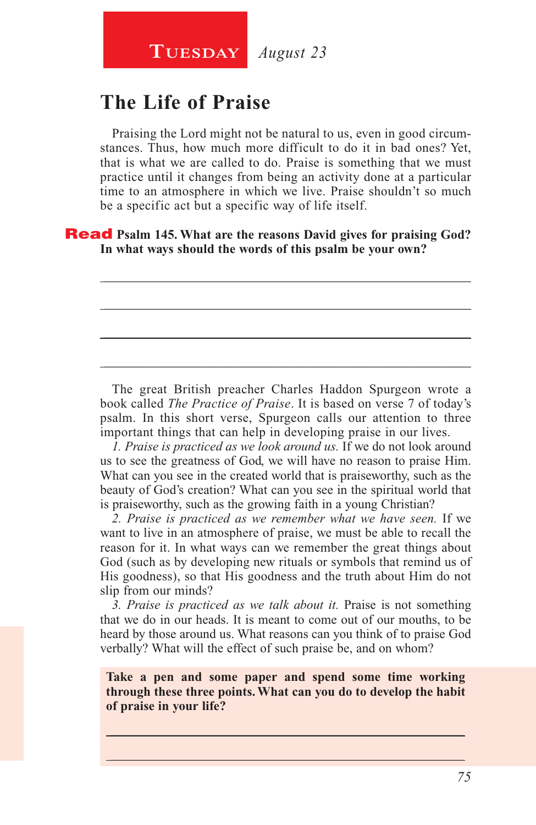## **The Life of Praise**

Praising the Lord might not be natural to us, even in good circumstances. Thus, how much more difficult to do it in bad ones? Yet, that is what we are called to do. Praise is something that we must practice until it changes from being an activity done at a particular time to an atmosphere in which we live. Praise shouldn't so much be a specific act but a specific way of life itself.

\_\_\_\_\_\_\_\_\_\_\_\_\_\_\_\_\_\_\_\_\_\_\_\_\_\_\_\_\_\_\_\_\_\_\_\_\_\_\_\_\_\_\_\_\_\_\_\_\_\_\_\_\_\_\_\_

\_\_\_\_\_\_\_\_\_\_\_\_\_\_\_\_\_\_\_\_\_\_\_\_\_\_\_\_\_\_\_\_\_\_\_\_\_\_\_\_\_\_\_\_\_\_\_\_\_\_\_\_\_\_\_\_

\_\_\_\_\_\_\_\_\_\_\_\_\_\_\_\_\_\_\_\_\_\_\_\_\_\_\_\_\_\_\_\_\_\_\_\_\_\_\_\_\_\_\_\_\_\_\_\_\_\_\_\_\_\_\_\_

\_\_\_\_\_\_\_\_\_\_\_\_\_\_\_\_\_\_\_\_\_\_\_\_\_\_\_\_\_\_\_\_\_\_\_\_\_\_\_\_\_\_\_\_\_\_\_\_\_\_\_\_\_\_\_\_

Read **Psalm 145. What are the reasons David gives for praising God? In what ways should the words of this psalm be your own?**

The great British preacher Charles Haddon Spurgeon wrote a book called *The Practice of Praise*. It is based on verse 7 of today's psalm. In this short verse, Spurgeon calls our attention to three important things that can help in developing praise in our lives.

*1. Praise is practiced as we look around us.* If we do not look around us to see the greatness of God, we will have no reason to praise Him. What can you see in the created world that is praiseworthy, such as the beauty of God's creation? What can you see in the spiritual world that is praiseworthy, such as the growing faith in a young Christian?

*2. Praise is practiced as we remember what we have seen.* If we want to live in an atmosphere of praise, we must be able to recall the reason for it. In what ways can we remember the great things about God (such as by developing new rituals or symbols that remind us of His goodness), so that His goodness and the truth about Him do not slip from our minds?

*3. Praise is practiced as we talk about it.* Praise is not something that we do in our heads. It is meant to come out of our mouths, to be heard by those around us. What reasons can you think of to praise God verbally? What will the effect of such praise be, and on whom?

**Take a pen and some paper and spend some time working through these three points. What can you do to develop the habit of praise in your life?**

 $\_$  , and the set of the set of the set of the set of the set of the set of the set of the set of the set of the set of the set of the set of the set of the set of the set of the set of the set of the set of the set of th \_\_\_\_\_\_\_\_\_\_\_\_\_\_\_\_\_\_\_\_\_\_\_\_\_\_\_\_\_\_\_\_\_\_\_\_\_\_\_\_\_\_\_\_\_\_\_\_\_\_\_\_\_\_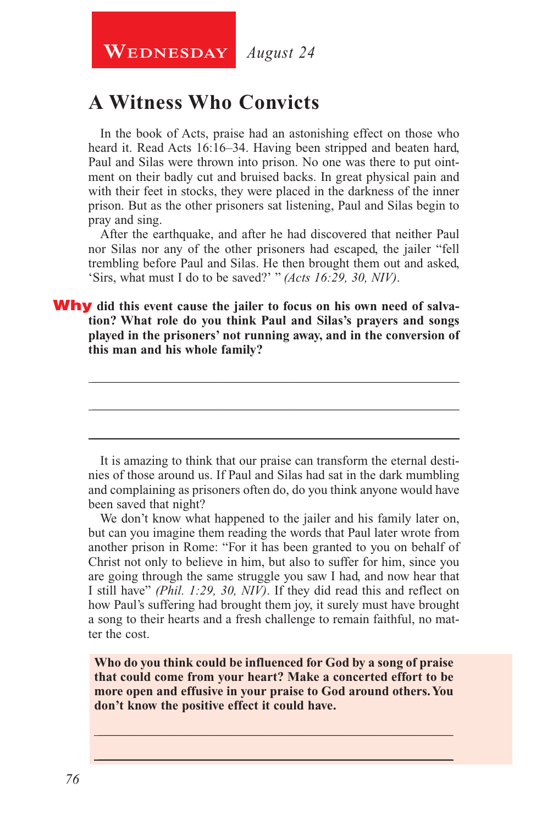**WEDNESDAY** August 24

## **A Witness Who Convicts**

In the book of Acts, praise had an astonishing effect on those who heard it. Read Acts 16:16–34. Having been stripped and beaten hard, Paul and Silas were thrown into prison. No one was there to put ointment on their badly cut and bruised backs. In great physical pain and with their feet in stocks, they were placed in the darkness of the inner prison. But as the other prisoners sat listening, Paul and Silas begin to pray and sing.

After the earthquake, and after he had discovered that neither Paul nor Silas nor any of the other prisoners had escaped, the jailer "fell trembling before Paul and Silas. He then brought them out and asked, 'Sirs, what must I do to be saved?' " *(Acts 16:29, 30, NIV)*.

Why **did this event cause the jailer to focus on his own need of salvation? What role do you think Paul and Silas's prayers and songs played in the prisoners' not running away, and in the conversion of this man and his whole family?**

It is amazing to think that our praise can transform the eternal destinies of those around us. If Paul and Silas had sat in the dark mumbling and complaining as prisoners often do, do you think anyone would have been saved that night?

\_\_\_\_\_\_\_\_\_\_\_\_\_\_\_\_\_\_\_\_\_\_\_\_\_\_\_\_\_\_\_\_\_\_\_\_\_\_\_\_\_\_\_\_\_\_\_\_\_\_\_\_\_\_\_\_

\_\_\_\_\_\_\_\_\_\_\_\_\_\_\_\_\_\_\_\_\_\_\_\_\_\_\_\_\_\_\_\_\_\_\_\_\_\_\_\_\_\_\_\_\_\_\_\_\_\_\_\_\_\_\_\_

\_\_\_\_\_\_\_\_\_\_\_\_\_\_\_\_\_\_\_\_\_\_\_\_\_\_\_\_\_\_\_\_\_\_\_\_\_\_\_\_\_\_\_\_\_\_\_\_\_\_\_\_\_\_\_\_

We don't know what happened to the jailer and his family later on, but can you imagine them reading the words that Paul later wrote from another prison in Rome: "For it has been granted to you on behalf of Christ not only to believe in him, but also to suffer for him, since you are going through the same struggle you saw I had, and now hear that I still have" *(Phil. 1:29, 30, NIV)*. If they did read this and reflect on how Paul's suffering had brought them joy, it surely must have brought a song to their hearts and a fresh challenge to remain faithful, no matter the cost.

**Who do you think could be influenced for God by a song of praise that could come from your heart? Make a concerted effort to be more open and effusive in your praise to God around others. You don't know the positive effect it could have.**

\_\_\_\_\_\_\_\_\_\_\_\_\_\_\_\_\_\_\_\_\_\_\_\_\_\_\_\_\_\_\_\_\_\_\_\_\_\_\_\_\_\_\_\_\_\_\_\_\_\_\_\_\_\_ \_\_\_\_\_\_\_\_\_\_\_\_\_\_\_\_\_\_\_\_\_\_\_\_\_\_\_\_\_\_\_\_\_\_\_\_\_\_\_\_\_\_\_\_\_\_\_\_\_\_\_\_\_\_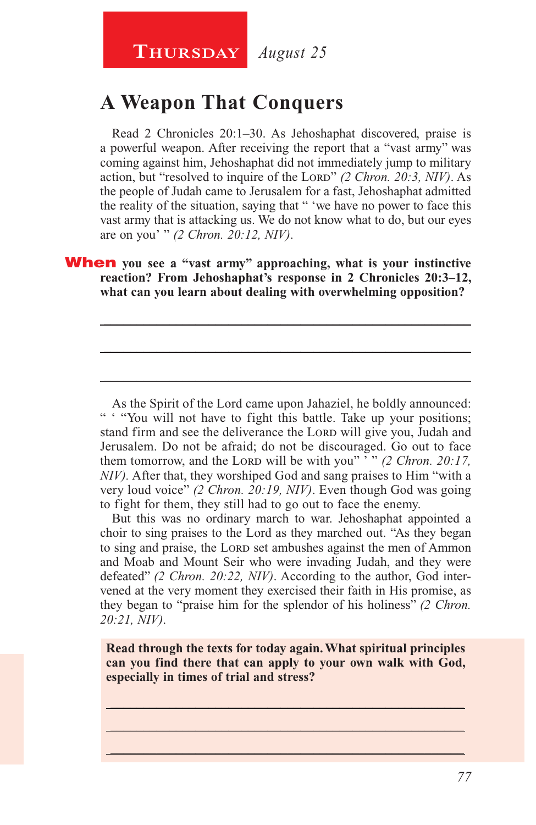## **A Weapon That Conquers**

Read 2 Chronicles 20:1–30. As Jehoshaphat discovered, praise is a powerful weapon. After receiving the report that a "vast army" was coming against him, Jehoshaphat did not immediately jump to military action, but "resolved to inquire of the Lord" (2 Chron. 20:3, NIV). As the people of Judah came to Jerusalem for a fast, Jehoshaphat admitted the reality of the situation, saying that " 'we have no power to face this vast army that is attacking us. We do not know what to do, but our eyes are on you' " *(2 Chron. 20:12, NIV)*.

#### When **you see a "vast army" approaching, what is your instinctive reaction? From Jehoshaphat's response in 2 Chronicles 20:3–12, what can you learn about dealing with overwhelming opposition?**

\_\_\_\_\_\_\_\_\_\_\_\_\_\_\_\_\_\_\_\_\_\_\_\_\_\_\_\_\_\_\_\_\_\_\_\_\_\_\_\_\_\_\_\_\_\_\_\_\_\_\_\_\_\_\_\_

\_\_\_\_\_\_\_\_\_\_\_\_\_\_\_\_\_\_\_\_\_\_\_\_\_\_\_\_\_\_\_\_\_\_\_\_\_\_\_\_\_\_\_\_\_\_\_\_\_\_\_\_\_\_\_\_

\_\_\_\_\_\_\_\_\_\_\_\_\_\_\_\_\_\_\_\_\_\_\_\_\_\_\_\_\_\_\_\_\_\_\_\_\_\_\_\_\_\_\_\_\_\_\_\_\_\_\_\_\_\_\_\_

As the Spirit of the Lord came upon Jahaziel, he boldly announced: " " "You will not have to fight this battle. Take up your positions; stand firm and see the deliverance the LORD will give you, Judah and Jerusalem. Do not be afraid; do not be discouraged. Go out to face them tomorrow, and the Lord will be with you" '" (2 Chron. 20:17, *NIV).* After that, they worshiped God and sang praises to Him "with a very loud voice" *(2 Chron. 20:19, NIV)*. Even though God was going to fight for them, they still had to go out to face the enemy.

But this was no ordinary march to war. Jehoshaphat appointed a choir to sing praises to the Lord as they marched out. "As they began to sing and praise, the LORD set ambushes against the men of Ammon and Moab and Mount Seir who were invading Judah, and they were defeated" *(2 Chron. 20:22, NIV)*. According to the author, God intervened at the very moment they exercised their faith in His promise, as they began to "praise him for the splendor of his holiness" *(2 Chron. 20:21, NIV)*.

**Read through the texts for today again. What spiritual principles can you find there that can apply to your own walk with God, especially in times of trial and stress?**

 $\_$  , and the set of the set of the set of the set of the set of the set of the set of the set of the set of the set of the set of the set of the set of the set of the set of the set of the set of the set of the set of th \_\_\_\_\_\_\_\_\_\_\_\_\_\_\_\_\_\_\_\_\_\_\_\_\_\_\_\_\_\_\_\_\_\_\_\_\_\_\_\_\_\_\_\_\_\_\_\_\_\_\_\_\_\_ \_\_\_\_\_\_\_\_\_\_\_\_\_\_\_\_\_\_\_\_\_\_\_\_\_\_\_\_\_\_\_\_\_\_\_\_\_\_\_\_\_\_\_\_\_\_\_\_\_\_\_\_\_\_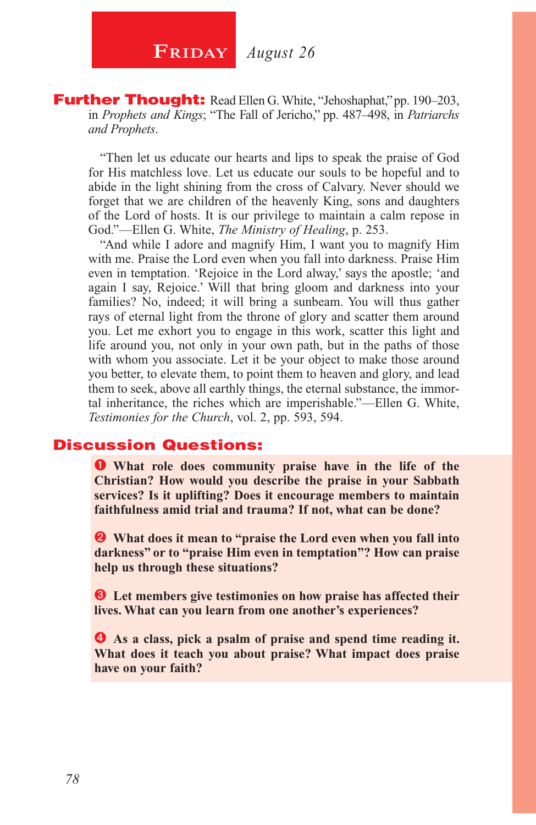**Further Thought:** Read Ellen G. White, "Jehoshaphat," pp. 190–203, in *Prophets and Kings*; "The Fall of Jericho," pp. 487–498, in *Patriarchs and Prophets*.

"Then let us educate our hearts and lips to speak the praise of God for His matchless love. Let us educate our souls to be hopeful and to abide in the light shining from the cross of Calvary. Never should we forget that we are children of the heavenly King, sons and daughters of the Lord of hosts. It is our privilege to maintain a calm repose in God."—Ellen G. White, *The Ministry of Healing*, p. 253.

"And while I adore and magnify Him, I want you to magnify Him with me. Praise the Lord even when you fall into darkness. Praise Him even in temptation. 'Rejoice in the Lord alway,' says the apostle; 'and again I say, Rejoice.' Will that bring gloom and darkness into your families? No, indeed; it will bring a sunbeam. You will thus gather rays of eternal light from the throne of glory and scatter them around you. Let me exhort you to engage in this work, scatter this light and life around you, not only in your own path, but in the paths of those with whom you associate. Let it be your object to make those around you better, to elevate them, to point them to heaven and glory, and lead them to seek, above all earthly things, the eternal substance, the immortal inheritance, the riches which are imperishable."—Ellen G. White, *Testimonies for the Church*, vol. 2, pp. 593, 594.

#### Discussion Questions:

**O** What role does community praise have in the life of the **Christian? How would you describe the praise in your Sabbath services? Is it uplifting? Does it encourage members to maintain faithfulness amid trial and trauma? If not, what can be done?**

 **What does it mean to "praise the Lord even when you fall into darkness" or to "praise Him even in temptation"? How can praise help us through these situations?**

 **Let members give testimonies on how praise has affected their lives. What can you learn from one another's experiences?**

 **As a class, pick a psalm of praise and spend time reading it. What does it teach you about praise? What impact does praise have on your faith?**